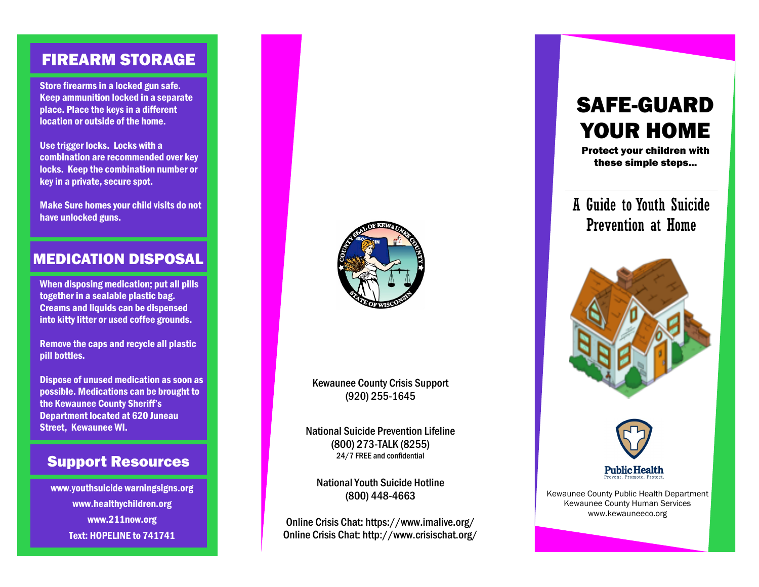### FIREARM STORAGE

Store firearms in a locked gun safe. Keep ammunition locked in a separate place. Place the keys in a different location or outside of the home.

Use trigger locks. Locks with a combination are recommended over key locks. Keep the combination number or key in a private, secure spot.

Make Sure homes your child visits do not have unlocked guns.

#### MEDICATION DISPOSAL

When disposing medication; put all pills together in a sealable plastic bag. Creams and liquids can be dispensed into kitty litter or used coffee grounds.

Remove the caps and recycle all plastic pill bottles.

Dispose of unused medication as soon as possible. Medications can be brought to the Kewaunee County Sheriff's Department located at 620 Juneau Street, Kewaunee WI.

#### Support Resources

www.youthsuicide warningsigns.org www.healthychildren.org www.211now.org Text: HOPELINE to 741741



Kewaunee County Crisis Support (920) 255-1645

National Suicide Prevention Lifeline (800) 273-TALK (8255) 24/7 FREE and confidential

National Youth Suicide Hotline (800) 448-4663

Online Crisis Chat: https://www.imalive.org/ Online Crisis Chat: http://www.crisischat.org/

# SAFE-GUARD YOUR HOME

Protect your children with these simple steps...

## A Guide to Youth Suicide Prevention at Home